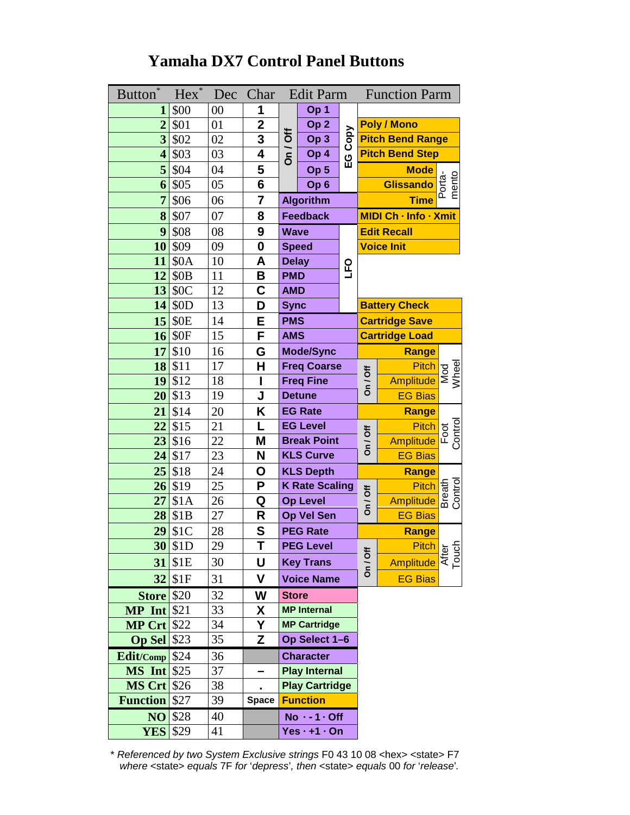# **Yamaha DX7 Control Panel Buttons**

| $\ast$<br><b>Button</b> | Hex <sup>*</sup> | Dec    | Char                    |                 | Edit Parm             |                    |                                  | <b>Function Parm</b>                 |                 |
|-------------------------|------------------|--------|-------------------------|-----------------|-----------------------|--------------------|----------------------------------|--------------------------------------|-----------------|
| $\mathbf{1}$            | \$00             | $00\,$ | 1                       |                 | Op 1                  |                    |                                  |                                      |                 |
| $\overline{2}$          | \$01             | 01     | $\overline{2}$          | On / Off        | Op <sub>2</sub>       |                    |                                  | <b>Poly / Mono</b>                   |                 |
| $\overline{\mathbf{3}}$ | \$02             | 02     | $\overline{\mathbf{3}}$ |                 | Op <sub>3</sub>       |                    |                                  | <b>Pitch Bend Range</b>              |                 |
| $\overline{\mathbf{4}}$ | \$03             | 03     | 4                       |                 | Op 4                  | EG Copy            | <b>Pitch Bend Step</b>           |                                      |                 |
| 5                       | \$04             | 04     | 5                       |                 | Op <sub>5</sub>       |                    |                                  | <b>Mode</b>                          |                 |
| 6                       | \$05             | 05     | $\overline{\mathbf{6}}$ |                 | Op <sub>6</sub>       |                    |                                  | <b>Glissando</b>                     | Porta-<br>mento |
| $\overline{7}$          | \$06             | 06     | $\overline{7}$          |                 | <b>Algorithm</b>      |                    | <b>Time</b>                      |                                      |                 |
| 8                       | \$07             | 07     | 8                       |                 | <b>Feedback</b>       |                    | MIDI Ch - Info - Xmit            |                                      |                 |
| 9                       | \$08             | 08     | 9                       | <b>Wave</b>     |                       | <b>Edit Recall</b> |                                  |                                      |                 |
| 10                      | \$09             | 09     | $\bf{0}$                |                 | <b>Speed</b>          |                    |                                  | <b>Voice Init</b>                    |                 |
| 11                      | \$0A             | 10     | A                       | <b>Delay</b>    |                       | 0<br>LFQ           |                                  |                                      |                 |
| 12                      | \$0 <sub>B</sub> | 11     | B                       | <b>PMD</b>      |                       |                    |                                  |                                      |                 |
| 13                      | \$0C             | 12     | C                       | <b>AMD</b>      |                       |                    |                                  |                                      |                 |
| 14                      | \$0D             | 13     | D                       | <b>Sync</b>     |                       |                    |                                  | <b>Battery Check</b>                 |                 |
| 15                      | <b>\$0E</b>      | 14     | E                       | <b>PMS</b>      |                       |                    | <b>Cartridge Save</b>            |                                      |                 |
| 16                      | \$0F             | 15     | F                       | <b>AMS</b>      |                       |                    | <b>Cartridge Load</b>            |                                      |                 |
| 17                      | \$10             | 16     | G                       |                 | <b>Mode/Sync</b>      |                    |                                  | Range                                |                 |
| 18                      | \$11             | 17     | H                       |                 | <b>Freq Coarse</b>    |                    | On / Off                         | <b>Pitch</b>                         | Wheel<br>Mod    |
| 19                      | \$12             | 18     | I                       |                 | <b>Freq Fine</b>      |                    |                                  | <b>Amplitude</b>                     |                 |
| 20                      | \$13             | 19     | J                       |                 | <b>Detune</b>         |                    |                                  | <b>EG Bias</b>                       |                 |
| 21                      | \$14             | 20     | Κ                       |                 | <b>EG Rate</b>        |                    |                                  | Range                                |                 |
| 22                      | \$15             | 21     | L                       |                 | <b>EG Level</b>       |                    | $On /$ Off                       | <b>Pitch</b>                         | Control<br>Foot |
| 23                      | \$16             | 22     | M                       |                 | <b>Break Point</b>    |                    |                                  | <b>Amplitude</b>                     |                 |
| 24                      | \$17             | 23     | N                       |                 | <b>KLS Curve</b>      |                    |                                  | <b>EG Bias</b>                       |                 |
| 25                      | \$18             | 24     | О                       |                 | <b>KLS Depth</b>      |                    |                                  | Range                                |                 |
| 26                      | \$19             | 25     | P                       |                 | <b>K Rate Scaling</b> |                    |                                  |                                      |                 |
| 27                      | \$1A             | 26     | Q                       | <b>Op Level</b> |                       | On / Off           | Pitch<br>Pitch<br>Amplitude as O |                                      |                 |
| 28                      | \$1B             | 27     | R                       |                 | Op Vel Sen            |                    |                                  | <b>EG Bias</b>                       |                 |
| 29                      | \$1C             | 28     | S                       |                 | <b>PEG Rate</b>       |                    |                                  | Range                                |                 |
|                         | $30$ \$1D        | 29     | T                       |                 | <b>PEG Level</b>      |                    |                                  | Pitch<br>Amplitude<br>amplitude<br>E |                 |
|                         | 31 \$1E          | 30     | U                       |                 | <b>Key Trans</b>      |                    | On / Off                         |                                      |                 |
|                         | 32 \$1F          | 31     | V                       |                 | <b>Voice Name</b>     |                    |                                  | <b>EG Bias</b>                       |                 |
| <b>Store</b> \$20       |                  | 32     | W                       | <b>Store</b>    |                       |                    |                                  |                                      |                 |
| $MP$ Int $$21$          |                  | 33     | X                       |                 | <b>MP</b> Internal    |                    |                                  |                                      |                 |
| <b>MP Crt \$22</b>      |                  | 34     | Υ                       |                 | <b>MP Cartridge</b>   |                    |                                  |                                      |                 |
| Op Sel \$23             |                  | 35     | Z                       |                 | Op Select 1-6         |                    |                                  |                                      |                 |
| Edit/Comp \$24          |                  | 36     |                         |                 | <b>Character</b>      |                    |                                  |                                      |                 |
| <b>MS</b> Int \$25      |                  | 37     |                         |                 | <b>Play Internal</b>  |                    |                                  |                                      |                 |
| <b>MS Crt</b> \$26      |                  | 38     | ä,                      |                 | <b>Play Cartridge</b> |                    |                                  |                                      |                 |
| <b>Function</b> \$27    |                  | 39     | <b>Space</b>            |                 | <b>Function</b>       |                    |                                  |                                      |                 |
|                         | <b>NO</b> \$28   | 40     |                         |                 | $No - 1 \cdot Off$    |                    |                                  |                                      |                 |
| <b>YES</b>              | \$29             | 41     |                         |                 | $Yes · + 1 · On$      |                    |                                  |                                      |                 |

\* *Referenced by two System Exclusive strings* F0 43 10 08 <hex> <state> F7 *where* <state> *equals* 7F *for* '*depress*'*, then* <state> *equals* 00 *for* '*release*'*.*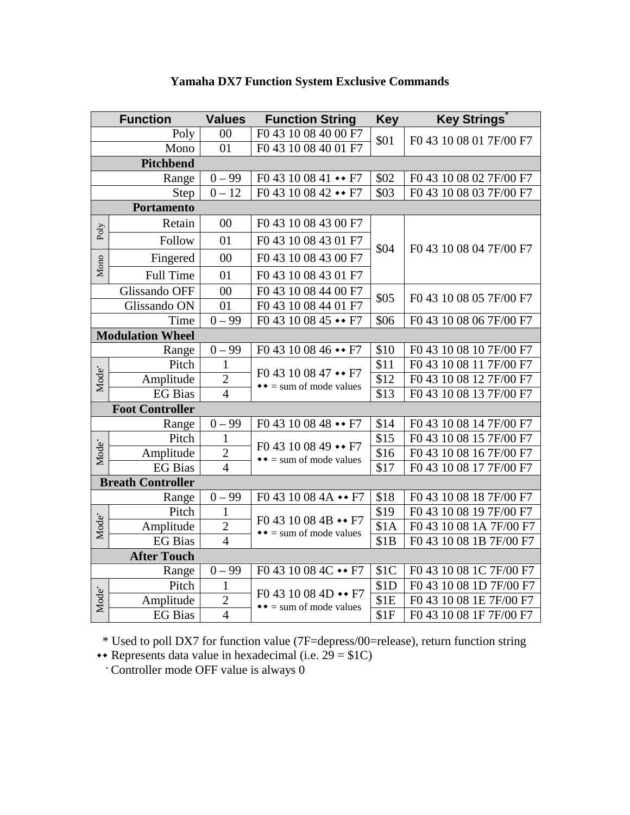| <b>Function</b>   |                          | <b>Values</b>  | <b>Function String</b>                                                                | <b>Key</b>       | <b>Key Strings</b>      |  |  |  |
|-------------------|--------------------------|----------------|---------------------------------------------------------------------------------------|------------------|-------------------------|--|--|--|
| Poly              |                          | $00\,$         | F0 43 10 08 40 00 F7                                                                  | \$01             | F0 43 10 08 01 7F/00 F7 |  |  |  |
| Mono              |                          | 01             | F0 43 10 08 40 01 F7                                                                  |                  |                         |  |  |  |
| Pitchbend         |                          |                |                                                                                       |                  |                         |  |  |  |
|                   | Range                    | $0 - 99$       | $F043100841 \rightarrow F7$                                                           | \$02             | F0 43 10 08 02 7F/00 F7 |  |  |  |
|                   | Step                     | $0 - 12$       | F0 43 10 08 42 • F7                                                                   | \$03             | F0 43 10 08 03 7F/00 F7 |  |  |  |
|                   | <b>Portamento</b>        |                |                                                                                       |                  |                         |  |  |  |
| Poly              | Retain                   | 00             | F0 43 10 08 43 00 F7                                                                  | \$04             |                         |  |  |  |
|                   | Follow                   | 01             | F0 43 10 08 43 01 F7                                                                  |                  | F0 43 10 08 04 7F/00 F7 |  |  |  |
| Mono              | Fingered                 | 00             | F0 43 10 08 43 00 F7                                                                  |                  |                         |  |  |  |
|                   | <b>Full Time</b>         | 01             | F0 43 10 08 43 01 F7                                                                  |                  |                         |  |  |  |
|                   | Glissando OFF            | 00             | F0 43 10 08 44 00 F7                                                                  | \$05             |                         |  |  |  |
|                   | Glissando ON             | 01             | F0 43 10 08 44 01 F7                                                                  |                  | F0 43 10 08 05 7F/00 F7 |  |  |  |
|                   | Time                     | $0 - 99$       | $F043100845 \rightarrow F7$                                                           | \$06             | F0 43 10 08 06 7F/00 F7 |  |  |  |
|                   | <b>Modulation Wheel</b>  |                |                                                                                       |                  |                         |  |  |  |
|                   | Range                    | $0 - 99$       | $F043100846 \rightarrow F7$                                                           | \$10             | F0 43 10 08 10 7F/00 F7 |  |  |  |
|                   | Pitch                    | $\mathbf{1}$   | F0 43 10 08 47 $\leftrightarrow$ F7<br>$\rightarrow \rightarrow$ = sum of mode values | \$11             | F0 43 10 08 11 7F/00 F7 |  |  |  |
| Mode <sup>•</sup> | Amplitude                | $\sqrt{2}$     |                                                                                       | \$12             | F0 43 10 08 12 7F/00 F7 |  |  |  |
|                   | <b>EG</b> Bias           | $\overline{4}$ |                                                                                       | $\overline{$13}$ | F0 43 10 08 13 7F/00 F7 |  |  |  |
|                   | <b>Foot Controller</b>   |                |                                                                                       |                  |                         |  |  |  |
|                   | Range                    | $0 - 99$       | $F043100848 \rightarrow F7$                                                           | \$14             | F0 43 10 08 14 7F/00 F7 |  |  |  |
|                   | Pitch                    | $\mathbf{1}$   | $F043100849 \rightarrow F7$<br>$\rightarrow \rightarrow$ = sum of mode values         | \$15             | F0 43 10 08 15 7F/00 F7 |  |  |  |
| Mode <sup>•</sup> | Amplitude                | $\overline{2}$ |                                                                                       | \$16             | F0 43 10 08 16 7F/00 F7 |  |  |  |
|                   | <b>EG</b> Bias           | $\overline{4}$ |                                                                                       | \$17             | F0 43 10 08 17 7F/00 F7 |  |  |  |
|                   | <b>Breath Controller</b> |                |                                                                                       |                  |                         |  |  |  |
|                   | Range                    | $0 - 99$       | F0 43 10 08 4A • F7                                                                   | \$18             | F0 43 10 08 18 7F/00 F7 |  |  |  |
| Mode <sup>•</sup> | Pitch                    | $\mathbf{1}$   | $F04310084B \rightarrow F7$                                                           | $\overline{$19}$ | F0 43 10 08 19 7F/00 F7 |  |  |  |
|                   | Amplitude                | $\overline{2}$ | $\rightarrow \rightarrow$ = sum of mode values                                        | \$1A             | F0 43 10 08 1A 7F/00 F7 |  |  |  |
|                   | <b>EG</b> Bias           | $\overline{4}$ |                                                                                       | \$1B             | F0 43 10 08 1B 7F/00 F7 |  |  |  |
|                   | <b>After Touch</b>       |                |                                                                                       |                  |                         |  |  |  |
| Range             |                          | $0 - 99$       | F0 43 10 08 4C $\rightarrow$ F7                                                       | \$1C             | F0 43 10 08 1C 7F/00 F7 |  |  |  |
|                   | Pitch                    | $\mathbf{1}$   |                                                                                       | \$1D             | F0 43 10 08 1D 7F/00 F7 |  |  |  |
| Mode <sup>•</sup> | Amplitude                | $\overline{c}$ | $F04310084D \rightarrow F7$<br>$\rightarrow \rightarrow$ = sum of mode values         | \$1E             | F0 43 10 08 1E 7F/00 F7 |  |  |  |
|                   | <b>EG</b> Bias           | $\overline{4}$ |                                                                                       | \$1F             | F0 43 10 08 1F 7F/00 F7 |  |  |  |

### **Yamaha DX7 Function System Exclusive Commands**

\* Used to poll DX7 for function value (7F=depress/00=release), return function string

 $\leftrightarrow$  Represents data value in hexadecimal (i.e. 29 = \$1C) • Controller mode OFF value is always 0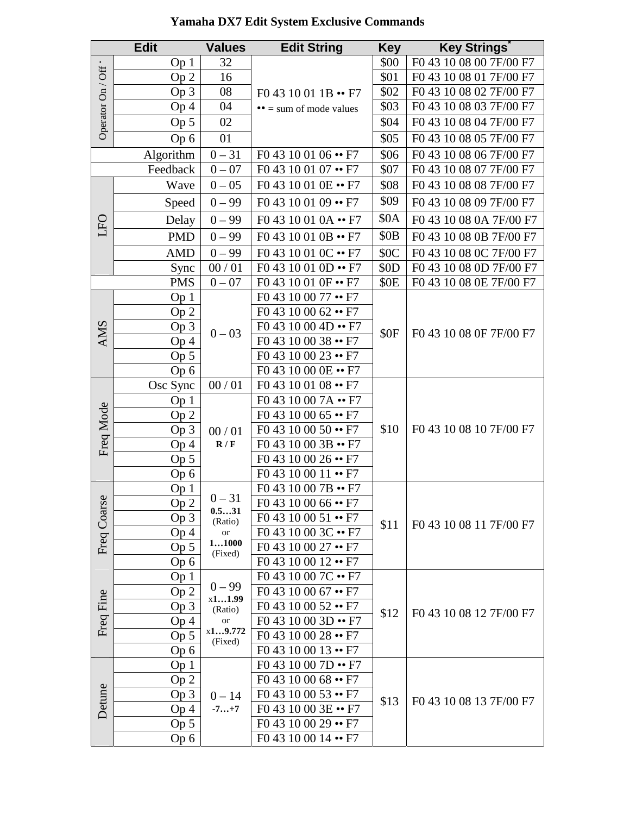| F0 43 10 08 00 7F/00 F7<br>32<br>\$00<br>Op <sub>1</sub><br>Operator On / Off ·<br>F0 43 10 08 01 7F/00 F7<br>\$01<br>16<br>Op <sub>2</sub><br>\$02<br>F0 43 10 08 02 7F/00 F7<br>Op <sub>3</sub><br>08<br>$F04310011B \rightarrow F7$<br>\$03<br>F0 43 10 08 03 7F/00 F7<br>04<br>Op <sub>4</sub><br>$\bullet$ = sum of mode values<br>F0 43 10 08 04 7F/00 F7<br>Op <sub>5</sub><br>02<br>\$04<br>F0 43 10 08 05 7F/00 F7<br>01<br>\$05<br>Op 6<br>$0 - 31$<br>Algorithm<br>F0 43 10 01 06 •• F7<br>\$06<br>F0 43 10 08 06 7F/00 F7<br>F0 43 10 01 07 •• F7<br>F0 43 10 08 07 7F/00 F7<br>Feedback<br>$0 - 07$<br>\$07<br>F0 43 10 01 0E •• F7<br>F0 43 10 08 08 7F/00 F7<br>Wave<br>$0 - 05$<br>\$08<br>\$09<br>F0 43 10 01 09 •• F7<br>F0 43 10 08 09 7F/00 F7<br>$0 - 99$<br>Speed<br>\$0A<br>F0 43 10 01 0A •• F7<br>F0 43 10 08 0A 7F/00 F7<br>Delay<br>$0 - 99$<br>DED<br>\$0 <sub>B</sub><br><b>PMD</b><br>$0 - 99$<br>F0 43 10 01 0B •• F7<br>F0 43 10 08 0B 7F/00 F7<br><b>AMD</b><br>F0 43 10 01 0C •• F7<br>\$0C<br>F0 43 10 08 0C 7F/00 F7<br>$0 - 99$<br>00/01<br>F0 43 10 01 0D •• F7<br>\$0D<br>F0 43 10 08 0D 7F/00 F7<br>Sync<br>F0 43 10 01 0F •• F7<br><b>PMS</b><br>$0 - 07$<br>F0 43 10 08 0E 7F/00 F7<br>\$0E<br>F0 43 10 00 77 •• F7<br>Op 1<br>F0 43 10 00 62 •• F7<br>Op <sub>2</sub><br><b>AMS</b><br>F0 43 10 00 4D •• F7<br>Op <sub>3</sub><br>$0 - 03$<br>F0 43 10 08 0F 7F/00 F7<br>\$0F<br>F0 43 10 00 38 •• F7<br>Op <sub>4</sub><br>F0 43 10 00 23 •• F7<br>Op 5<br>F0 43 10 00 0E •• F7<br>Op 6<br>F0 43 10 01 08 •• F7<br>00/01<br>Osc Sync<br>F0 43 10 00 7A •• F7<br>Op <sub>1</sub><br>Freq Mode<br>F0 43 10 00 65 •• F7<br>Op <sub>2</sub><br>F0 43 10 08 10 7F/00 F7<br>$F043100050 \rightarrow F7$<br>\$10<br>Op 3<br>00/01<br>F0 43 10 00 3B •• F7<br>R/F<br>Op <sub>4</sub><br>F0 43 10 00 26 •• F7<br>Op <sub>5</sub><br>F0 43 10 00 11 •• F7<br>Op 6<br>F0 43 10 00 7B •• F7<br>Op 1<br>$0 - 31$<br>Freq Coarse<br>F0 43 10 00 66 •• F7<br>Op 2<br>0.531<br>F0 43 10 00 51 •• F7<br>Op 3<br>(Ratio)<br>\$11<br>F0 43 10 08 11 7F/00 F7<br>F0 43 10 00 3C •• F7<br>Op <sub>4</sub><br><b>or</b><br>11000<br>$F043100027 \rightarrow F7$<br>Op 5<br>(Fixed)<br>F0 43 10 00 12 •• F7<br>Op 6<br>F0 43 10 00 7C •• F7<br>Op <sub>1</sub><br>$0 - 99$<br>$F043100067 \rightarrow F7$<br>Op <sub>2</sub><br>Freq Fine<br>x11.99<br>Op 3<br>$F043100052 \rightarrow F7$<br>(Ratio)<br>\$12<br>F0 43 10 08 12 7F/00 F7<br>$F04310003D \rightarrow F7$<br>Op 4<br>$\hbox{or}$<br>x19.772<br>Op 5<br>F0 43 10 00 28 •• F7<br>(Fixed)<br>$F043100013 \rightarrow F7$<br>Op 6<br>F0 43 10 00 7D •• F7<br>Op <sub>1</sub><br>F0 43 10 00 68 •• F7<br>Op 2<br>Detune<br>$F043100053 \rightarrow F7$<br>Op 3<br>$0 - 14$<br>F0 43 10 08 13 7F/00 F7<br>\$13<br>F0 43 10 00 3E •• F7<br>Op <sub>4</sub><br>$-7+7$<br>$F043100029 \rightarrow F7$<br>Op 5<br>F0 43 10 00 14 •• F7<br>Op 6 |  | <b>Edit</b> | <b>Values</b> | <b>Edit String</b> | <b>Key</b> | <b>Key Strings</b> |
|-------------------------------------------------------------------------------------------------------------------------------------------------------------------------------------------------------------------------------------------------------------------------------------------------------------------------------------------------------------------------------------------------------------------------------------------------------------------------------------------------------------------------------------------------------------------------------------------------------------------------------------------------------------------------------------------------------------------------------------------------------------------------------------------------------------------------------------------------------------------------------------------------------------------------------------------------------------------------------------------------------------------------------------------------------------------------------------------------------------------------------------------------------------------------------------------------------------------------------------------------------------------------------------------------------------------------------------------------------------------------------------------------------------------------------------------------------------------------------------------------------------------------------------------------------------------------------------------------------------------------------------------------------------------------------------------------------------------------------------------------------------------------------------------------------------------------------------------------------------------------------------------------------------------------------------------------------------------------------------------------------------------------------------------------------------------------------------------------------------------------------------------------------------------------------------------------------------------------------------------------------------------------------------------------------------------------------------------------------------------------------------------------------------------------------------------------------------------------------------------------------------------------------------------------------------------------------------------------------------------------------------------------------------------------------------------------------------------------------------------------------------------------------------------------------------------------------------------------------------------------------------------------------------------------|--|-------------|---------------|--------------------|------------|--------------------|
|                                                                                                                                                                                                                                                                                                                                                                                                                                                                                                                                                                                                                                                                                                                                                                                                                                                                                                                                                                                                                                                                                                                                                                                                                                                                                                                                                                                                                                                                                                                                                                                                                                                                                                                                                                                                                                                                                                                                                                                                                                                                                                                                                                                                                                                                                                                                                                                                                                                                                                                                                                                                                                                                                                                                                                                                                                                                                                                         |  |             |               |                    |            |                    |
|                                                                                                                                                                                                                                                                                                                                                                                                                                                                                                                                                                                                                                                                                                                                                                                                                                                                                                                                                                                                                                                                                                                                                                                                                                                                                                                                                                                                                                                                                                                                                                                                                                                                                                                                                                                                                                                                                                                                                                                                                                                                                                                                                                                                                                                                                                                                                                                                                                                                                                                                                                                                                                                                                                                                                                                                                                                                                                                         |  |             |               |                    |            |                    |
|                                                                                                                                                                                                                                                                                                                                                                                                                                                                                                                                                                                                                                                                                                                                                                                                                                                                                                                                                                                                                                                                                                                                                                                                                                                                                                                                                                                                                                                                                                                                                                                                                                                                                                                                                                                                                                                                                                                                                                                                                                                                                                                                                                                                                                                                                                                                                                                                                                                                                                                                                                                                                                                                                                                                                                                                                                                                                                                         |  |             |               |                    |            |                    |
|                                                                                                                                                                                                                                                                                                                                                                                                                                                                                                                                                                                                                                                                                                                                                                                                                                                                                                                                                                                                                                                                                                                                                                                                                                                                                                                                                                                                                                                                                                                                                                                                                                                                                                                                                                                                                                                                                                                                                                                                                                                                                                                                                                                                                                                                                                                                                                                                                                                                                                                                                                                                                                                                                                                                                                                                                                                                                                                         |  |             |               |                    |            |                    |
|                                                                                                                                                                                                                                                                                                                                                                                                                                                                                                                                                                                                                                                                                                                                                                                                                                                                                                                                                                                                                                                                                                                                                                                                                                                                                                                                                                                                                                                                                                                                                                                                                                                                                                                                                                                                                                                                                                                                                                                                                                                                                                                                                                                                                                                                                                                                                                                                                                                                                                                                                                                                                                                                                                                                                                                                                                                                                                                         |  |             |               |                    |            |                    |
|                                                                                                                                                                                                                                                                                                                                                                                                                                                                                                                                                                                                                                                                                                                                                                                                                                                                                                                                                                                                                                                                                                                                                                                                                                                                                                                                                                                                                                                                                                                                                                                                                                                                                                                                                                                                                                                                                                                                                                                                                                                                                                                                                                                                                                                                                                                                                                                                                                                                                                                                                                                                                                                                                                                                                                                                                                                                                                                         |  |             |               |                    |            |                    |
|                                                                                                                                                                                                                                                                                                                                                                                                                                                                                                                                                                                                                                                                                                                                                                                                                                                                                                                                                                                                                                                                                                                                                                                                                                                                                                                                                                                                                                                                                                                                                                                                                                                                                                                                                                                                                                                                                                                                                                                                                                                                                                                                                                                                                                                                                                                                                                                                                                                                                                                                                                                                                                                                                                                                                                                                                                                                                                                         |  |             |               |                    |            |                    |
|                                                                                                                                                                                                                                                                                                                                                                                                                                                                                                                                                                                                                                                                                                                                                                                                                                                                                                                                                                                                                                                                                                                                                                                                                                                                                                                                                                                                                                                                                                                                                                                                                                                                                                                                                                                                                                                                                                                                                                                                                                                                                                                                                                                                                                                                                                                                                                                                                                                                                                                                                                                                                                                                                                                                                                                                                                                                                                                         |  |             |               |                    |            |                    |
|                                                                                                                                                                                                                                                                                                                                                                                                                                                                                                                                                                                                                                                                                                                                                                                                                                                                                                                                                                                                                                                                                                                                                                                                                                                                                                                                                                                                                                                                                                                                                                                                                                                                                                                                                                                                                                                                                                                                                                                                                                                                                                                                                                                                                                                                                                                                                                                                                                                                                                                                                                                                                                                                                                                                                                                                                                                                                                                         |  |             |               |                    |            |                    |
|                                                                                                                                                                                                                                                                                                                                                                                                                                                                                                                                                                                                                                                                                                                                                                                                                                                                                                                                                                                                                                                                                                                                                                                                                                                                                                                                                                                                                                                                                                                                                                                                                                                                                                                                                                                                                                                                                                                                                                                                                                                                                                                                                                                                                                                                                                                                                                                                                                                                                                                                                                                                                                                                                                                                                                                                                                                                                                                         |  |             |               |                    |            |                    |
|                                                                                                                                                                                                                                                                                                                                                                                                                                                                                                                                                                                                                                                                                                                                                                                                                                                                                                                                                                                                                                                                                                                                                                                                                                                                                                                                                                                                                                                                                                                                                                                                                                                                                                                                                                                                                                                                                                                                                                                                                                                                                                                                                                                                                                                                                                                                                                                                                                                                                                                                                                                                                                                                                                                                                                                                                                                                                                                         |  |             |               |                    |            |                    |
|                                                                                                                                                                                                                                                                                                                                                                                                                                                                                                                                                                                                                                                                                                                                                                                                                                                                                                                                                                                                                                                                                                                                                                                                                                                                                                                                                                                                                                                                                                                                                                                                                                                                                                                                                                                                                                                                                                                                                                                                                                                                                                                                                                                                                                                                                                                                                                                                                                                                                                                                                                                                                                                                                                                                                                                                                                                                                                                         |  |             |               |                    |            |                    |
|                                                                                                                                                                                                                                                                                                                                                                                                                                                                                                                                                                                                                                                                                                                                                                                                                                                                                                                                                                                                                                                                                                                                                                                                                                                                                                                                                                                                                                                                                                                                                                                                                                                                                                                                                                                                                                                                                                                                                                                                                                                                                                                                                                                                                                                                                                                                                                                                                                                                                                                                                                                                                                                                                                                                                                                                                                                                                                                         |  |             |               |                    |            |                    |
|                                                                                                                                                                                                                                                                                                                                                                                                                                                                                                                                                                                                                                                                                                                                                                                                                                                                                                                                                                                                                                                                                                                                                                                                                                                                                                                                                                                                                                                                                                                                                                                                                                                                                                                                                                                                                                                                                                                                                                                                                                                                                                                                                                                                                                                                                                                                                                                                                                                                                                                                                                                                                                                                                                                                                                                                                                                                                                                         |  |             |               |                    |            |                    |
|                                                                                                                                                                                                                                                                                                                                                                                                                                                                                                                                                                                                                                                                                                                                                                                                                                                                                                                                                                                                                                                                                                                                                                                                                                                                                                                                                                                                                                                                                                                                                                                                                                                                                                                                                                                                                                                                                                                                                                                                                                                                                                                                                                                                                                                                                                                                                                                                                                                                                                                                                                                                                                                                                                                                                                                                                                                                                                                         |  |             |               |                    |            |                    |
|                                                                                                                                                                                                                                                                                                                                                                                                                                                                                                                                                                                                                                                                                                                                                                                                                                                                                                                                                                                                                                                                                                                                                                                                                                                                                                                                                                                                                                                                                                                                                                                                                                                                                                                                                                                                                                                                                                                                                                                                                                                                                                                                                                                                                                                                                                                                                                                                                                                                                                                                                                                                                                                                                                                                                                                                                                                                                                                         |  |             |               |                    |            |                    |
|                                                                                                                                                                                                                                                                                                                                                                                                                                                                                                                                                                                                                                                                                                                                                                                                                                                                                                                                                                                                                                                                                                                                                                                                                                                                                                                                                                                                                                                                                                                                                                                                                                                                                                                                                                                                                                                                                                                                                                                                                                                                                                                                                                                                                                                                                                                                                                                                                                                                                                                                                                                                                                                                                                                                                                                                                                                                                                                         |  |             |               |                    |            |                    |
|                                                                                                                                                                                                                                                                                                                                                                                                                                                                                                                                                                                                                                                                                                                                                                                                                                                                                                                                                                                                                                                                                                                                                                                                                                                                                                                                                                                                                                                                                                                                                                                                                                                                                                                                                                                                                                                                                                                                                                                                                                                                                                                                                                                                                                                                                                                                                                                                                                                                                                                                                                                                                                                                                                                                                                                                                                                                                                                         |  |             |               |                    |            |                    |
|                                                                                                                                                                                                                                                                                                                                                                                                                                                                                                                                                                                                                                                                                                                                                                                                                                                                                                                                                                                                                                                                                                                                                                                                                                                                                                                                                                                                                                                                                                                                                                                                                                                                                                                                                                                                                                                                                                                                                                                                                                                                                                                                                                                                                                                                                                                                                                                                                                                                                                                                                                                                                                                                                                                                                                                                                                                                                                                         |  |             |               |                    |            |                    |
|                                                                                                                                                                                                                                                                                                                                                                                                                                                                                                                                                                                                                                                                                                                                                                                                                                                                                                                                                                                                                                                                                                                                                                                                                                                                                                                                                                                                                                                                                                                                                                                                                                                                                                                                                                                                                                                                                                                                                                                                                                                                                                                                                                                                                                                                                                                                                                                                                                                                                                                                                                                                                                                                                                                                                                                                                                                                                                                         |  |             |               |                    |            |                    |
|                                                                                                                                                                                                                                                                                                                                                                                                                                                                                                                                                                                                                                                                                                                                                                                                                                                                                                                                                                                                                                                                                                                                                                                                                                                                                                                                                                                                                                                                                                                                                                                                                                                                                                                                                                                                                                                                                                                                                                                                                                                                                                                                                                                                                                                                                                                                                                                                                                                                                                                                                                                                                                                                                                                                                                                                                                                                                                                         |  |             |               |                    |            |                    |
|                                                                                                                                                                                                                                                                                                                                                                                                                                                                                                                                                                                                                                                                                                                                                                                                                                                                                                                                                                                                                                                                                                                                                                                                                                                                                                                                                                                                                                                                                                                                                                                                                                                                                                                                                                                                                                                                                                                                                                                                                                                                                                                                                                                                                                                                                                                                                                                                                                                                                                                                                                                                                                                                                                                                                                                                                                                                                                                         |  |             |               |                    |            |                    |
|                                                                                                                                                                                                                                                                                                                                                                                                                                                                                                                                                                                                                                                                                                                                                                                                                                                                                                                                                                                                                                                                                                                                                                                                                                                                                                                                                                                                                                                                                                                                                                                                                                                                                                                                                                                                                                                                                                                                                                                                                                                                                                                                                                                                                                                                                                                                                                                                                                                                                                                                                                                                                                                                                                                                                                                                                                                                                                                         |  |             |               |                    |            |                    |
|                                                                                                                                                                                                                                                                                                                                                                                                                                                                                                                                                                                                                                                                                                                                                                                                                                                                                                                                                                                                                                                                                                                                                                                                                                                                                                                                                                                                                                                                                                                                                                                                                                                                                                                                                                                                                                                                                                                                                                                                                                                                                                                                                                                                                                                                                                                                                                                                                                                                                                                                                                                                                                                                                                                                                                                                                                                                                                                         |  |             |               |                    |            |                    |
|                                                                                                                                                                                                                                                                                                                                                                                                                                                                                                                                                                                                                                                                                                                                                                                                                                                                                                                                                                                                                                                                                                                                                                                                                                                                                                                                                                                                                                                                                                                                                                                                                                                                                                                                                                                                                                                                                                                                                                                                                                                                                                                                                                                                                                                                                                                                                                                                                                                                                                                                                                                                                                                                                                                                                                                                                                                                                                                         |  |             |               |                    |            |                    |
|                                                                                                                                                                                                                                                                                                                                                                                                                                                                                                                                                                                                                                                                                                                                                                                                                                                                                                                                                                                                                                                                                                                                                                                                                                                                                                                                                                                                                                                                                                                                                                                                                                                                                                                                                                                                                                                                                                                                                                                                                                                                                                                                                                                                                                                                                                                                                                                                                                                                                                                                                                                                                                                                                                                                                                                                                                                                                                                         |  |             |               |                    |            |                    |
|                                                                                                                                                                                                                                                                                                                                                                                                                                                                                                                                                                                                                                                                                                                                                                                                                                                                                                                                                                                                                                                                                                                                                                                                                                                                                                                                                                                                                                                                                                                                                                                                                                                                                                                                                                                                                                                                                                                                                                                                                                                                                                                                                                                                                                                                                                                                                                                                                                                                                                                                                                                                                                                                                                                                                                                                                                                                                                                         |  |             |               |                    |            |                    |
|                                                                                                                                                                                                                                                                                                                                                                                                                                                                                                                                                                                                                                                                                                                                                                                                                                                                                                                                                                                                                                                                                                                                                                                                                                                                                                                                                                                                                                                                                                                                                                                                                                                                                                                                                                                                                                                                                                                                                                                                                                                                                                                                                                                                                                                                                                                                                                                                                                                                                                                                                                                                                                                                                                                                                                                                                                                                                                                         |  |             |               |                    |            |                    |
|                                                                                                                                                                                                                                                                                                                                                                                                                                                                                                                                                                                                                                                                                                                                                                                                                                                                                                                                                                                                                                                                                                                                                                                                                                                                                                                                                                                                                                                                                                                                                                                                                                                                                                                                                                                                                                                                                                                                                                                                                                                                                                                                                                                                                                                                                                                                                                                                                                                                                                                                                                                                                                                                                                                                                                                                                                                                                                                         |  |             |               |                    |            |                    |
|                                                                                                                                                                                                                                                                                                                                                                                                                                                                                                                                                                                                                                                                                                                                                                                                                                                                                                                                                                                                                                                                                                                                                                                                                                                                                                                                                                                                                                                                                                                                                                                                                                                                                                                                                                                                                                                                                                                                                                                                                                                                                                                                                                                                                                                                                                                                                                                                                                                                                                                                                                                                                                                                                                                                                                                                                                                                                                                         |  |             |               |                    |            |                    |
|                                                                                                                                                                                                                                                                                                                                                                                                                                                                                                                                                                                                                                                                                                                                                                                                                                                                                                                                                                                                                                                                                                                                                                                                                                                                                                                                                                                                                                                                                                                                                                                                                                                                                                                                                                                                                                                                                                                                                                                                                                                                                                                                                                                                                                                                                                                                                                                                                                                                                                                                                                                                                                                                                                                                                                                                                                                                                                                         |  |             |               |                    |            |                    |
|                                                                                                                                                                                                                                                                                                                                                                                                                                                                                                                                                                                                                                                                                                                                                                                                                                                                                                                                                                                                                                                                                                                                                                                                                                                                                                                                                                                                                                                                                                                                                                                                                                                                                                                                                                                                                                                                                                                                                                                                                                                                                                                                                                                                                                                                                                                                                                                                                                                                                                                                                                                                                                                                                                                                                                                                                                                                                                                         |  |             |               |                    |            |                    |
|                                                                                                                                                                                                                                                                                                                                                                                                                                                                                                                                                                                                                                                                                                                                                                                                                                                                                                                                                                                                                                                                                                                                                                                                                                                                                                                                                                                                                                                                                                                                                                                                                                                                                                                                                                                                                                                                                                                                                                                                                                                                                                                                                                                                                                                                                                                                                                                                                                                                                                                                                                                                                                                                                                                                                                                                                                                                                                                         |  |             |               |                    |            |                    |
|                                                                                                                                                                                                                                                                                                                                                                                                                                                                                                                                                                                                                                                                                                                                                                                                                                                                                                                                                                                                                                                                                                                                                                                                                                                                                                                                                                                                                                                                                                                                                                                                                                                                                                                                                                                                                                                                                                                                                                                                                                                                                                                                                                                                                                                                                                                                                                                                                                                                                                                                                                                                                                                                                                                                                                                                                                                                                                                         |  |             |               |                    |            |                    |
|                                                                                                                                                                                                                                                                                                                                                                                                                                                                                                                                                                                                                                                                                                                                                                                                                                                                                                                                                                                                                                                                                                                                                                                                                                                                                                                                                                                                                                                                                                                                                                                                                                                                                                                                                                                                                                                                                                                                                                                                                                                                                                                                                                                                                                                                                                                                                                                                                                                                                                                                                                                                                                                                                                                                                                                                                                                                                                                         |  |             |               |                    |            |                    |
|                                                                                                                                                                                                                                                                                                                                                                                                                                                                                                                                                                                                                                                                                                                                                                                                                                                                                                                                                                                                                                                                                                                                                                                                                                                                                                                                                                                                                                                                                                                                                                                                                                                                                                                                                                                                                                                                                                                                                                                                                                                                                                                                                                                                                                                                                                                                                                                                                                                                                                                                                                                                                                                                                                                                                                                                                                                                                                                         |  |             |               |                    |            |                    |
|                                                                                                                                                                                                                                                                                                                                                                                                                                                                                                                                                                                                                                                                                                                                                                                                                                                                                                                                                                                                                                                                                                                                                                                                                                                                                                                                                                                                                                                                                                                                                                                                                                                                                                                                                                                                                                                                                                                                                                                                                                                                                                                                                                                                                                                                                                                                                                                                                                                                                                                                                                                                                                                                                                                                                                                                                                                                                                                         |  |             |               |                    |            |                    |
|                                                                                                                                                                                                                                                                                                                                                                                                                                                                                                                                                                                                                                                                                                                                                                                                                                                                                                                                                                                                                                                                                                                                                                                                                                                                                                                                                                                                                                                                                                                                                                                                                                                                                                                                                                                                                                                                                                                                                                                                                                                                                                                                                                                                                                                                                                                                                                                                                                                                                                                                                                                                                                                                                                                                                                                                                                                                                                                         |  |             |               |                    |            |                    |
|                                                                                                                                                                                                                                                                                                                                                                                                                                                                                                                                                                                                                                                                                                                                                                                                                                                                                                                                                                                                                                                                                                                                                                                                                                                                                                                                                                                                                                                                                                                                                                                                                                                                                                                                                                                                                                                                                                                                                                                                                                                                                                                                                                                                                                                                                                                                                                                                                                                                                                                                                                                                                                                                                                                                                                                                                                                                                                                         |  |             |               |                    |            |                    |
|                                                                                                                                                                                                                                                                                                                                                                                                                                                                                                                                                                                                                                                                                                                                                                                                                                                                                                                                                                                                                                                                                                                                                                                                                                                                                                                                                                                                                                                                                                                                                                                                                                                                                                                                                                                                                                                                                                                                                                                                                                                                                                                                                                                                                                                                                                                                                                                                                                                                                                                                                                                                                                                                                                                                                                                                                                                                                                                         |  |             |               |                    |            |                    |
|                                                                                                                                                                                                                                                                                                                                                                                                                                                                                                                                                                                                                                                                                                                                                                                                                                                                                                                                                                                                                                                                                                                                                                                                                                                                                                                                                                                                                                                                                                                                                                                                                                                                                                                                                                                                                                                                                                                                                                                                                                                                                                                                                                                                                                                                                                                                                                                                                                                                                                                                                                                                                                                                                                                                                                                                                                                                                                                         |  |             |               |                    |            |                    |
|                                                                                                                                                                                                                                                                                                                                                                                                                                                                                                                                                                                                                                                                                                                                                                                                                                                                                                                                                                                                                                                                                                                                                                                                                                                                                                                                                                                                                                                                                                                                                                                                                                                                                                                                                                                                                                                                                                                                                                                                                                                                                                                                                                                                                                                                                                                                                                                                                                                                                                                                                                                                                                                                                                                                                                                                                                                                                                                         |  |             |               |                    |            |                    |
|                                                                                                                                                                                                                                                                                                                                                                                                                                                                                                                                                                                                                                                                                                                                                                                                                                                                                                                                                                                                                                                                                                                                                                                                                                                                                                                                                                                                                                                                                                                                                                                                                                                                                                                                                                                                                                                                                                                                                                                                                                                                                                                                                                                                                                                                                                                                                                                                                                                                                                                                                                                                                                                                                                                                                                                                                                                                                                                         |  |             |               |                    |            |                    |
|                                                                                                                                                                                                                                                                                                                                                                                                                                                                                                                                                                                                                                                                                                                                                                                                                                                                                                                                                                                                                                                                                                                                                                                                                                                                                                                                                                                                                                                                                                                                                                                                                                                                                                                                                                                                                                                                                                                                                                                                                                                                                                                                                                                                                                                                                                                                                                                                                                                                                                                                                                                                                                                                                                                                                                                                                                                                                                                         |  |             |               |                    |            |                    |
|                                                                                                                                                                                                                                                                                                                                                                                                                                                                                                                                                                                                                                                                                                                                                                                                                                                                                                                                                                                                                                                                                                                                                                                                                                                                                                                                                                                                                                                                                                                                                                                                                                                                                                                                                                                                                                                                                                                                                                                                                                                                                                                                                                                                                                                                                                                                                                                                                                                                                                                                                                                                                                                                                                                                                                                                                                                                                                                         |  |             |               |                    |            |                    |
|                                                                                                                                                                                                                                                                                                                                                                                                                                                                                                                                                                                                                                                                                                                                                                                                                                                                                                                                                                                                                                                                                                                                                                                                                                                                                                                                                                                                                                                                                                                                                                                                                                                                                                                                                                                                                                                                                                                                                                                                                                                                                                                                                                                                                                                                                                                                                                                                                                                                                                                                                                                                                                                                                                                                                                                                                                                                                                                         |  |             |               |                    |            |                    |

## **Yamaha DX7 Edit System Exclusive Commands**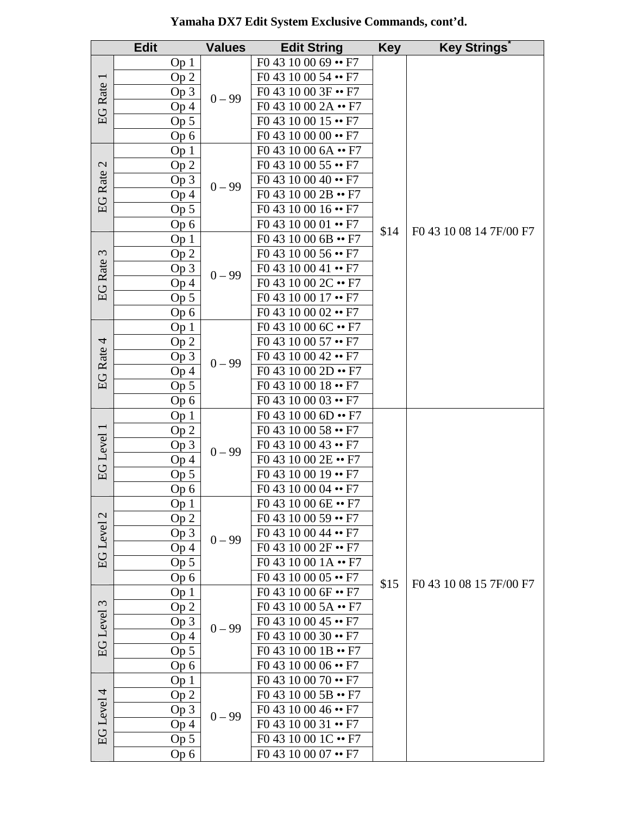|                          | <b>Edit</b>     | <b>Values</b> | <b>Edit String</b>          | <b>Key</b> | <b>Key Strings</b>      |
|--------------------------|-----------------|---------------|-----------------------------|------------|-------------------------|
|                          | Op <sub>1</sub> | $0 - 99$      | $F043100069 \rightarrow F7$ |            |                         |
| $\overline{\phantom{0}}$ | Op 2            |               | F0 43 10 00 54 •• F7        |            |                         |
|                          | Op 3            |               | F0 43 10 00 3F •• F7        |            |                         |
| <b>EG</b> Rate           | Op <sub>4</sub> |               | F0 43 10 00 2A •• F7        |            |                         |
|                          | Op <sub>5</sub> |               | F0 43 10 00 15 •• F7        |            |                         |
|                          | Op 6            |               | F0 43 10 00 00 •• F7        |            |                         |
|                          | Op <sub>1</sub> |               | F0 43 10 00 6A •• F7        |            |                         |
|                          | Op 2            |               | $F043100055 \rightarrow F7$ |            |                         |
| EG Rate 2                | Op 3            |               | $F043100040 \rightarrow F7$ |            |                         |
|                          | Op 4            | $0 - 99$      | F0 43 10 00 2B •• F7        |            |                         |
|                          | Op 5            |               | F0 43 10 00 16 •• F7        |            |                         |
|                          | Op 6            |               | $F043100001 \rightarrow F7$ |            |                         |
|                          | Op <sub>1</sub> |               | $F04310006B \rightarrow F7$ | \$14       | F0 43 10 08 14 7F/00 F7 |
| $\mathfrak{c}$           | Op <sub>2</sub> |               | F0 43 10 00 56 •• F7        |            |                         |
|                          | Op <sub>3</sub> |               | F0 43 10 00 41 •• F7        |            |                         |
| <b>EG</b> Rate           | Op 4            | $0 - 99$      | F0 43 10 00 2C •• F7        |            |                         |
|                          | Op 5            |               | F0 43 10 00 17 •• F7        |            |                         |
|                          | Op 6            |               | F0 43 10 00 02 •• F7        |            |                         |
|                          | Op <sub>1</sub> |               | F0 43 10 00 6C •• F7        |            |                         |
|                          | Op 2            |               | $F043100057 \rightarrow F7$ |            |                         |
| EG Rate 4                | Op 3            |               | F0 43 10 00 42 •• F7        |            |                         |
|                          | Op <sub>4</sub> | $0 - 99$      | F0 43 10 00 2D •• F7        |            |                         |
|                          | Op 5            |               | F0 43 10 00 18 •• F7        |            |                         |
|                          | Op 6            |               | F0 43 10 00 03 •• F7        |            |                         |
|                          | Op <sub>1</sub> |               | $F04310006D \rightarrow F7$ |            | F0 43 10 08 15 7F/00 F7 |
|                          | Op <sub>2</sub> |               | F0 43 10 00 58 •• F7        |            |                         |
| EG Level 1               | Op <sub>3</sub> | $0 - 99$      | $F043100043 \rightarrow F7$ |            |                         |
|                          | Op <sub>4</sub> |               | F0 43 10 00 2E •• F7        |            |                         |
|                          | Op <sub>5</sub> |               | F0 43 10 00 19 •• F7        |            |                         |
|                          | Op 6            |               | $F043100004 \rightarrow F7$ |            |                         |
|                          | Op <sub>1</sub> |               | $F04310006E - F7$           |            |                         |
|                          | Op 2            |               | F0 43 10 00 59 •• F7        |            |                         |
| EG Level 2               | Op <sub>3</sub> | $0 - 99$      | F0 43 10 00 44 •• F7        |            |                         |
|                          | Op 4            |               | F0 43 10 00 2F •• F7        |            |                         |
|                          | Op 5            |               | F0 43 10 00 1A •• F7        |            |                         |
|                          | Op6             |               | F0 43 10 00 05 •• F7        | \$15       |                         |
|                          | Op <sub>1</sub> |               | F0 43 10 00 6F •• F7        |            |                         |
| $\mathfrak{c}$           | Op <sub>2</sub> |               | F0 43 10 00 5A •• F7        |            |                         |
| <b>EG</b> Level          | Op 3            | $0 - 99$      | F0 43 10 00 45 •• F7        |            |                         |
|                          | Op <sub>4</sub> |               | $F043100030 \rightarrow F7$ |            |                         |
|                          | Op <sub>5</sub> |               | F0 43 10 00 1B •• F7        |            |                         |
|                          | Op 6            |               | F0 43 10 00 06 •• F7        |            |                         |
|                          | Op <sub>1</sub> |               | F0 43 10 00 70 •• F7        |            |                         |
|                          | Op 2            |               | F0 43 10 00 5B •• F7        |            |                         |
| EG Level 4               | Op <sub>3</sub> | $0 - 99$      | F0 43 10 00 46 •• F7        |            |                         |
|                          | Op 4            |               | $F043100031 \rightarrow F7$ |            |                         |
|                          | $Op\ 5$         |               | F0 43 10 00 1C •• F7        |            |                         |
|                          | Op 6            |               | F0 43 10 00 07 •• F7        |            |                         |

**Yamaha DX7 Edit System Exclusive Commands, cont'd.**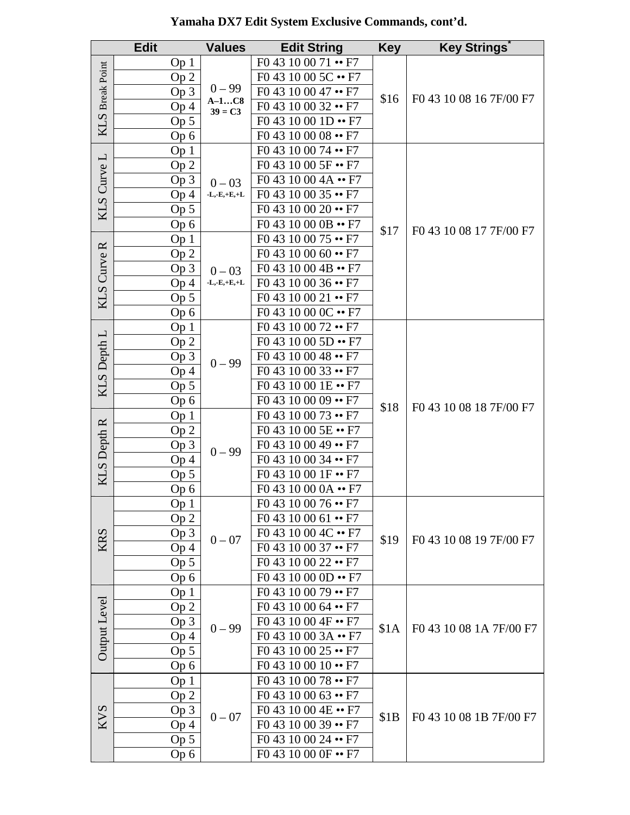|                    | <b>Edit</b>     | <b>Values</b>                                     | <b>Edit String</b>          | <b>Key</b> | <b>Key Strings</b>      |
|--------------------|-----------------|---------------------------------------------------|-----------------------------|------------|-------------------------|
|                    | Op <sub>1</sub> | $0 - 99$                                          | $F043100071 - F7$           |            |                         |
|                    | Op <sub>2</sub> |                                                   | F0 43 10 00 5C •• F7        |            |                         |
|                    | Op 3            |                                                   | $F043100047 \rightarrow F7$ | \$16       | F0 43 10 08 16 7F/00 F7 |
| KLS Break Point    | Op <sub>4</sub> | $A-1C8$<br>$39 = C3$                              | $F043100032 \rightarrow F7$ |            |                         |
|                    | Op 5            |                                                   | F0 43 10 00 1D •• F7        |            |                         |
|                    | Op 6            |                                                   | $F043100008 \rightarrow F7$ |            |                         |
|                    | Op <sub>1</sub> |                                                   | F0 43 10 00 74 •• F7        |            |                         |
|                    | Op 2            |                                                   | F0 43 10 00 5F •• F7        |            |                         |
|                    | Op 3            | $0 - 03$                                          | F0 43 10 00 4A •• F7        |            |                         |
|                    | Op 4            | $\textbf{L},\textbf{-E},\textbf{+E},\textbf{+L}$  | F0 43 10 00 35 •• F7        |            |                         |
| KLS Curve L        | Op 5            |                                                   | $F043100020 \rightarrow F7$ |            |                         |
|                    | Op 6            |                                                   | F0 43 10 00 0B •• F7        | \$17       | F0 43 10 08 17 7F/00 F7 |
|                    | Op <sub>1</sub> |                                                   | F0 43 10 00 75 •• F7        |            |                         |
|                    | Op <sub>2</sub> |                                                   | F0 43 10 00 60 •• F7        |            |                         |
|                    | Op 3            | $0 - 03$                                          | F0 43 10 00 4B •• F7        |            |                         |
| <b>KLS Curve R</b> | Op <sub>4</sub> | $\mathbf{-L},\mathbf{-E},\mathbf{+E},\mathbf{+L}$ | $F043100036 \rightarrow F7$ |            |                         |
|                    | Op 5            |                                                   | $F043100021 \rightarrow F7$ |            |                         |
|                    | Op 6            |                                                   | F0 43 10 00 0C •• F7        |            |                         |
|                    | Op <sub>1</sub> |                                                   | F0 43 10 00 72 •• F7        |            | F0 43 10 08 18 7F/00 F7 |
|                    | Op <sub>2</sub> |                                                   | $F04310005D \rightarrow F7$ |            |                         |
|                    | Op 3            | $0 - 99$                                          | F0 43 10 00 48 •• F7        |            |                         |
|                    | Op <sub>4</sub> |                                                   | $F043100033 \rightarrow F7$ | \$18       |                         |
| KLS Depth L        | Op <sub>5</sub> |                                                   | F0 43 10 00 1E •• F7        |            |                         |
|                    | Op 6            |                                                   | F0 43 10 00 09 •• F7        |            |                         |
|                    | Op <sub>1</sub> |                                                   | F0 43 10 00 73 •• F7        |            |                         |
|                    | Op 2            | $0 - 99$                                          | F0 43 10 00 5E •• F7        |            |                         |
| <b>KLS</b> Depth R | Op 3            |                                                   | F0 43 10 00 49 •• F7        |            |                         |
|                    | Op 4            |                                                   | $F043100034 \rightarrow F7$ |            |                         |
|                    | Op <sub>5</sub> |                                                   | F0 43 10 00 1F •• F7        |            |                         |
|                    | Op 6            |                                                   | F0 43 10 00 0A •• F7        |            |                         |
|                    | Op <sub>1</sub> |                                                   | $F043100076 \rightarrow F7$ |            | F0 43 10 08 19 7F/00 F7 |
|                    | Op <sub>2</sub> |                                                   | $F043100061 \rightarrow F7$ | \$19       |                         |
|                    | Op 3            | $0 - 07$                                          | F0 43 10 00 4C •• F7        |            |                         |
| KRS                | Op <sub>4</sub> |                                                   | F0 43 10 00 37 •• F7        |            |                         |
|                    | Op 5            |                                                   | F0 43 10 00 22 •• F7        |            |                         |
|                    | Op 6            |                                                   | F0 43 10 00 0D •• F7        |            |                         |
|                    | Op <sub>1</sub> |                                                   | F0 43 10 00 79 •• F7        |            | F0 43 10 08 1A 7F/00 F7 |
|                    | Op 2            |                                                   | F0 43 10 00 64 •• F7        | \$1A       |                         |
| Output Level       | Op <sub>3</sub> | $0 - 99$                                          | F0 43 10 00 4F •• F7        |            |                         |
|                    | Op 4            |                                                   | F0 43 10 00 3A •• F7        |            |                         |
|                    | Op <sub>5</sub> |                                                   | F0 43 10 00 25 •• F7        |            |                         |
|                    | Op 6            |                                                   | F0 43 10 00 10 •• F7        |            |                         |
|                    | Op <sub>1</sub> |                                                   | F0 43 10 00 78 •• F7        |            |                         |
|                    | Op <sub>2</sub> |                                                   | F0 43 10 00 63 •• F7        | \$1B       | F0 43 10 08 1B 7F/00 F7 |
|                    | Op <sub>3</sub> | $0 - 07$                                          | F0 43 10 00 4E •• F7        |            |                         |
| <b>KVS</b>         | Op <sub>4</sub> |                                                   | F0 43 10 00 39 •• F7        |            |                         |
|                    | Op <sub>5</sub> |                                                   | F0 43 10 00 24 •• F7        |            |                         |
|                    | Op 6            |                                                   | F0 43 10 00 0F •• F7        |            |                         |

### **Yamaha DX7 Edit System Exclusive Commands, cont'd.**